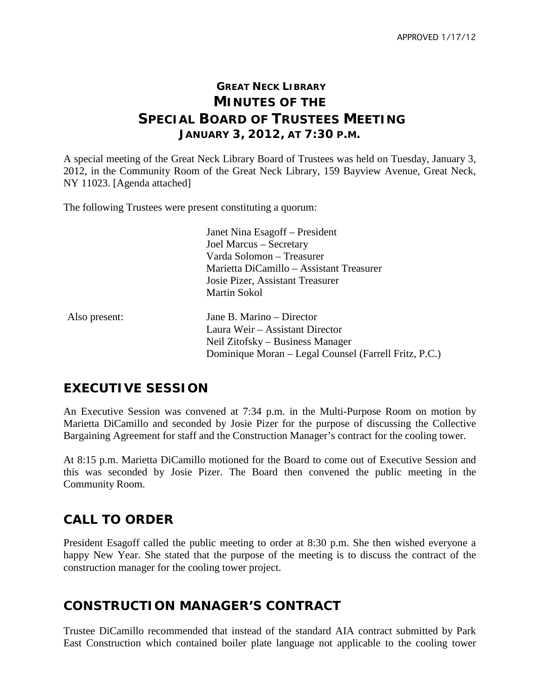## **GREAT NECK LIBRARY MINUTES OF THE SPECIAL BOARD OF TRUSTEES MEETING JANUARY 3, 2012, AT 7:30 P.M.**

A special meeting of the Great Neck Library Board of Trustees was held on Tuesday, January 3, 2012, in the Community Room of the Great Neck Library, 159 Bayview Avenue, Great Neck, NY 11023. [Agenda attached]

The following Trustees were present constituting a quorum:

Janet Nina Esagoff – President Joel Marcus – Secretary Varda Solomon – Treasurer Marietta DiCamillo – Assistant Treasurer Josie Pizer, Assistant Treasurer Martin Sokol

Also present: Jane B. Marino – Director Laura Weir – Assistant Director Neil Zitofsky – Business Manager Dominique Moran – Legal Counsel (Farrell Fritz, P.C.)

## **EXECUTIVE SESSION**

An Executive Session was convened at 7:34 p.m. in the Multi-Purpose Room on motion by Marietta DiCamillo and seconded by Josie Pizer for the purpose of discussing the Collective Bargaining Agreement for staff and the Construction Manager's contract for the cooling tower.

At 8:15 p.m. Marietta DiCamillo motioned for the Board to come out of Executive Session and this was seconded by Josie Pizer. The Board then convened the public meeting in the Community Room.

## **CALL TO ORDER**

President Esagoff called the public meeting to order at 8:30 p.m. She then wished everyone a happy New Year. She stated that the purpose of the meeting is to discuss the contract of the construction manager for the cooling tower project.

#### **CONSTRUCTION MANAGER'S CONTRACT**

Trustee DiCamillo recommended that instead of the standard AIA contract submitted by Park East Construction which contained boiler plate language not applicable to the cooling tower